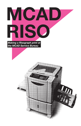

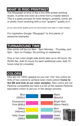# **WHAT IS RISO PRINTING?**

The Risograph is kind of like a tiny little screen printing studio. It prints one color at a time from a master stencil. This is a great process for bold designs, posters, comic art, or pretty much anything with a nice "graphic" quality to it.

(If you want photo-quality prints we recommend color laser or inkjet instead.)

*For inspiration Google "Risograph" to find plenty of awesome examples.*

# **TURNAROUND TIME**

Riso prints will be run 9am - 9pm Monday - Thursday, and 9am - 5pm on Fridays. *No printing on weekends.*

One or two color single side prints take up to 48 hours. *No RUSH fee*. Add 24 hours for each additional color. Add 72 hours total for a booklet.

# **COLORS**

Inks are not 100% opaque so you can 'mix' two colors (or tints of two colors) to achieve even more colors! **Come to the SB and look at our color samples**. *Riso colors are not Pantone compatible but here is a list of the nearest Pantone equivalent colors to aid you in the design process*.

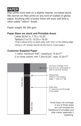## **PAPER**

Riso prints work best on a slightly heavier, uncoated stock. We cannot run Riso prints on any kind of coated or glossy paper. Anything with a toothy finish will work well (this is often called "vellum" finish).

Paper weight: 60-300 gsm

#### **Paper Sizes we stock and Printable Areas**

Letter (8.5x11): 7.75 x 10.25 Tabloid (11x17): 10.25 x 16.25 (That is about 3mm on each side, with 7mm on the trailing edge. Using a 1/8" border should do the trick in most cases.)

### **Customer Supplied Paper**

1-color: minimum 4x6", maximum 12.5x17" 2 or more colors: min 7.25x10.25", max 12.5x17"

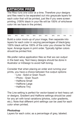## **ARTWORK PREP**

The Riso runs one color at a time. Therefore your designs and files need to be separated out into greyscale layers for each color that will be printed, just like if you were screen printing. (100% black in your file will be 100% of whichever color ink we have in the printer).



Build a color mock-up of your image, then separate into layers for each color in varying percentages of black/grey. 100% black will be 100% of the color you choose for that layer. Arrange layers in print order. Typically lighter colors should be printed first.

We prefer native application files so that we can output in the best way. Text-heavy designs should be done in Illustrator or InDesign to avoid half-toning.

Consider that when placing an order and running your prints, you have a choice between five output options:

- Line Solid or Grain Touch
- Photo Grain Touch
- Halftone Small
- Halftone Large
- Halftone Tiny

The Line setting is perfect for vector-based or text-heavy art or designs. Gradient and Halftone settings should be used for any art with tonal variations (photos, color gradients, etc.). Note that different print settings can be used for each color when printed.

### **Photoshop**

Layers for each color, as a percentage of grey, labeled.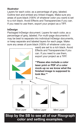#### **Illustrator**

Layers for each color, as a percentage of grey, labeled. Outline text and embed any linked images. Make sure any areas of pure black (100% of whatever color you want) is set to a rich black. Avoid Effects and Transparencies if you can. If you need to use them, export your project as a TIFF.

#### **InDesign**

Packaged InDesign document. Layers for each color, as a percentage of grey, labeled. For multi-page documents it may be best to separate into individual InDesign documents, or keep separate and labeled layers for each page. Make sure any areas of pure black (100% of whatever color you



**Stop by the SB to see all of our Risograph color and setting examples.**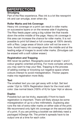# **IMPERFECTIONS**

#### **Smudging**

Part of the Riso experience. Riso ink is a lot like newsprint ink and can smudge, even when dry.

### **Roller Marks and Ink Coverage**

Heavy ink coverage on a print can result in roller marks on successive layers or on the reverse side if duplexing. The Riso feeds paper using a big rubber tire that travels down the entire middle of the page. Heavy ink coverage in this area can increase the chance for roller marks. It is not possible to print full bleed or full coverage at 100% density with a Riso. Large areas of block color will not be even in tone. Avoid heavy ink coverage down the middle and at the leading edge of images to avoid roller marks. (Smudges can be erased with a soft rubber eraser.)

### **Registration and Trapping**

Will never be perfect. Risographs excel at simple 1 and 2 colour graphic-oriented printing. For more complex artwork, you may want to trap your files. Trapping is the process of adding overlap or knocking out negative space where colours interact to avoid misregistration. Thicker papers make mis-registration more likely.

### **Text**

The smallest text you can get away with is 6pt. Set text under 12pt to 100% Registration black for the most solid color. Use normal black (100% of K) for type 14pt or above.

### **Duplex**

Possible but can be tricky, especially if front-to-back registration is important. There will likely always be some misregistration of up to a few millimeters. Duplexing also runs the risk of extra roller marks on either side of the print. We recommend only light ink coverage on the second side of a print. If you are printing a booklet we definitely need a packaged InDesign file. The printer's spreads have to be output one at a time for each color.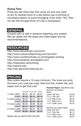#### **Drying Time**

Prints are wet when they first come out and may need to dry for several hours to a day before use or printing of successive layers, to avoid smudging. Even when "dry" Riso ink can still smudge (think of it like a newspaper).

## **GENERAL**

Consult with us well in advance regarding your project. We can assist with file setup and make paper and ink recommendations.

## **RESOURCES**

http://www.peowstudio.com/print/ http://www.colourcodeprinting.com/riso.html http://www.workflowstudio.co.uk/risograph-printing http://www.perfectly-acceptable.com/ http://hatopress.net/printing/ http://stencil.wiki/ http://riso.deconstructed.org.uk/

## **PRICING**

Riso orders require a 10 copy minimum. The more you print, the lower your cost-per-copy. Add print fee, master fee, and paper cost to get final cost.

|                 |          |           |        | <u>IVIUILAWN VIA LI</u>         |
|-----------------|----------|-----------|--------|---------------------------------|
|                 | 10 to 20 | 21 to 100 | $100+$ | White                           |
| 1 Color Letter  | \$0.25   | \$0.10    | \$0.07 | Letter 70lb Tex                 |
| 11x17           | \$0.40   | \$0.15    | \$0.10 | 11x17 70lb Te                   |
| 2 Colors Letter | \$0.35   | \$0.17    | \$0.13 | 11x17 65lb Co                   |
| 11x17           | \$0.50   | \$0.23    | \$0.15 | 11x17 80lb Co                   |
| 3 Colors Letter | \$0.50   | \$0.30    | \$0.20 | 11x17 100lb C                   |
| 11x17           | \$0.75   | \$0.37    | \$0.25 |                                 |
| 4 Colors Letter | \$0.65   | \$0.37    | \$0.30 | Mohawk Via C<br>Letter 70lb Tex |
| 11x17           | \$0.85   | \$0.50    | \$0.35 | 11x17 70lb Te                   |
|                 |          |           |        |                                 |

Master Set Up: \$0.50 PER COLOR!

| <b>Premium Papers</b> (see SB for more) |        |
|-----------------------------------------|--------|
| Mohawk Via Radiant                      |        |
| White                                   |        |
| Letter 70lb Text                        | \$0.08 |
| 11x17 70lb Text                         | \$0.15 |
| 11x17 65lb Cover                        | \$0.30 |
| 11x17 80lb Cover                        | \$0.32 |
| 11x17 100lb Cover                       | \$0.35 |
| Mohawk Via Cream White                  |        |
| I etter 70lb Text                       | \$0.08 |
| 11x17 70lb Text                         | \$0.15 |
| 11x17 65lb cover                        | \$0.30 |
| 11x17 100lb Cover                       | \$0.35 |